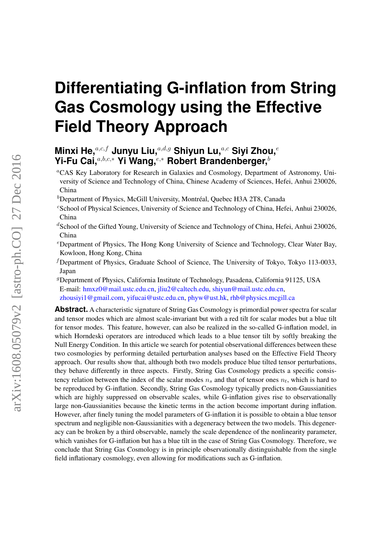# **Differentiating G-inflation from String Gas Cosmology using the Effective Field Theory Approach**

# **Minxi He,**a,c,f **Junyu Liu,**a,d,g **Shiyun Lu,**a,c **Siyi Zhou,**<sup>e</sup> **Yi-Fu Cai,**a,b,c,<sup>∗</sup> **Yi Wang,**e,<sup>∗</sup> **Robert Brandenberger,**<sup>b</sup>

<sup>a</sup>CAS Key Laboratory for Research in Galaxies and Cosmology, Department of Astronomy, University of Science and Technology of China, Chinese Academy of Sciences, Hefei, Anhui 230026, China

- $b$ Department of Physics, McGill University, Montréal, Quebec H3A 2T8, Canada
- <sup>c</sup>School of Physical Sciences, University of Science and Technology of China, Hefei, Anhui 230026, China
- $dS$ chool of the Gifted Young, University of Science and Technology of China, Hefei, Anhui 230026, China
- <sup>e</sup>Department of Physics, The Hong Kong University of Science and Technology, Clear Water Bay, Kowloon, Hong Kong, China
- $f$ Department of Physics, Graduate School of Science, The University of Tokyo, Tokyo 113-0033, Japan
- <sup>g</sup>Department of Physics, California Institute of Technology, Pasadena, California 91125, USA E-mail: [hmxz0@mail.ustc.edu.cn,](mailto:hmxz0@mail.ustc.edu.cn) [jliu2@caltech.edu,](mailto:jliu2@caltech.edu) [shiyun@mail.ustc.edu.cn,](mailto:shiyun@mail.ustc.edu.cn) [zhousiyi1@gmail.com,](mailto:zhousiyi1@gmail.com) [yifucai@ustc.edu.cn,](mailto:yifucai@ustc.edu.cn) [phyw@ust.hk,](mailto:phyw@ust.hk) [rhb@physics.mcgill.ca](mailto:rhb@physics.mcgill.ca)

**Abstract.** A characteristic signature of String Gas Cosmology is primordial power spectra for scalar and tensor modes which are almost scale-invariant but with a red tilt for scalar modes but a blue tilt for tensor modes. This feature, however, can also be realized in the so-called G-inflation model, in which Horndeski operators are introduced which leads to a blue tensor tilt by softly breaking the Null Energy Condition. In this article we search for potential observational differences between these two cosmologies by performing detailed perturbation analyses based on the Effective Field Theory approach. Our results show that, although both two models produce blue tilted tensor perturbations, they behave differently in three aspects. Firstly, String Gas Cosmology predicts a specific consistency relation between the index of the scalar modes  $n_s$  and that of tensor ones  $n_t$ , which is hard to be reproduced by G-inflation. Secondly, String Gas Cosmology typically predicts non-Gaussianities which are highly suppressed on observable scales, while G-inflation gives rise to observationally large non-Gaussianities because the kinetic terms in the action become important during inflation. However, after finely tuning the model parameters of G-inflation it is possible to obtain a blue tensor spectrum and negligible non-Gaussianities with a degeneracy between the two models. This degeneracy can be broken by a third observable, namely the scale dependence of the nonlinearity parameter, which vanishes for G-inflation but has a blue tilt in the case of String Gas Cosmology. Therefore, we conclude that String Gas Cosmology is in principle observationally distinguishable from the single field inflationary cosmology, even allowing for modifications such as G-inflation.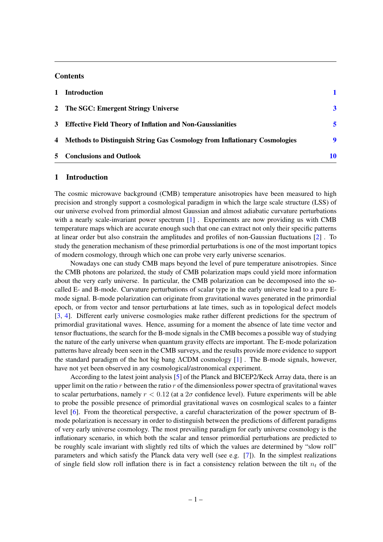# **Contents**

| 1 Introduction                                                              |    |
|-----------------------------------------------------------------------------|----|
| 2 The SGC: Emergent Stringy Universe                                        | 3  |
| 3 Effective Field Theory of Inflation and Non-Gaussianities                 | 5  |
| 4 Methods to Distinguish String Gas Cosmology from Inflationary Cosmologies | 9  |
| 5 Conclusions and Outlook                                                   | 10 |

#### <span id="page-1-0"></span>1 Introduction

The cosmic microwave background (CMB) temperature anisotropies have been measured to high precision and strongly support a cosmological paradigm in which the large scale structure (LSS) of our universe evolved from primordial almost Gaussian and almost adiabatic curvature perturbations with a nearly scale-invariant power spectrum [\[1\]](#page-14-0). Experiments are now providing us with CMB temperature maps which are accurate enough such that one can extract not only their specific patterns at linear order but also constrain the amplitudes and profiles of non-Gaussian fluctuations [\[2\]](#page-14-1) . To study the generation mechanism of these primordial perturbations is one of the most important topics of modern cosmology, through which one can probe very early universe scenarios.

Nowadays one can study CMB maps beyond the level of pure temperature anisotropies. Since the CMB photons are polarized, the study of CMB polarization maps could yield more information about the very early universe. In particular, the CMB polarization can be decomposed into the socalled E- and B-mode. Curvature perturbations of scalar type in the early universe lead to a pure Emode signal. B-mode polarization can originate from gravitational waves generated in the primordial epoch, or from vector and tensor perturbations at late times, such as in topological defect models [\[3,](#page-14-2) [4\]](#page-14-3). Different early universe cosmologies make rather different predictions for the spectrum of primordial gravitational waves. Hence, assuming for a moment the absence of late time vector and tensor fluctuations, the search for the B-mode signals in the CMB becomes a possible way of studying the nature of the early universe when quantum gravity effects are important. The E-mode polarization patterns have already been seen in the CMB surveys, and the results provide more evidence to support the standard paradigm of the hot big bang ΛCDM cosmology [\[1\]](#page-14-0) . The B-mode signals, however, have not yet been observed in any cosmological/astronomical experiment.

According to the latest joint analysis [\[5\]](#page-14-4) of the Planck and BICEP2/Keck Array data, there is an upper limit on the ratio r between the ratio r of the dimensionless power spectra of gravitational waves to scalar perturbations, namely  $r < 0.12$  (at a  $2\sigma$  confidence level). Future experiments will be able to probe the possible presence of primordial gravitational waves on cosmlogical scales to a fainter level [\[6\]](#page-14-5). From the theoretical perspective, a careful characterization of the power spectrum of Bmode polarization is necessary in order to distinguish between the predictions of different paradigms of very early universe cosmology. The most prevailing paradigm for early universe cosmology is the inflationary scenario, in which both the scalar and tensor primordial perturbations are predicted to be roughly scale invariant with slightly red tilts of which the values are determined by "slow roll" parameters and which satisfy the Planck data very well (see e.g. [\[7\]](#page-14-6)). In the simplest realizations of single field slow roll inflation there is in fact a consistency relation between the tilt  $n_t$  of the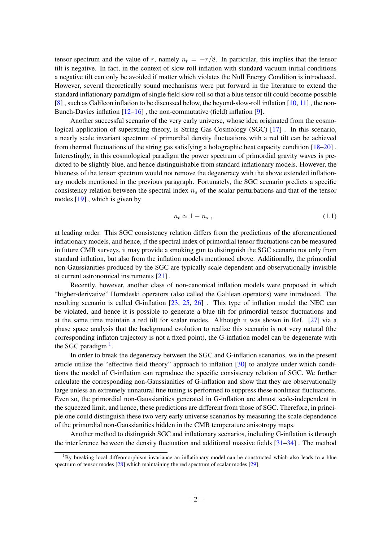tensor spectrum and the value of r, namely  $n_t = -r/8$ . In particular, this implies that the tensor tilt is negative. In fact, in the context of slow roll inflation with standard vacuum initial conditions a negative tilt can only be avoided if matter which violates the Null Energy Condition is introduced. However, several theoretically sound mechanisms were put forward in the literature to extend the standard inflationary paradigm of single field slow roll so that a blue tensor tilt could become possible [\[8\]](#page-14-7), such as Galileon inflation to be discussed below, the beyond-slow-roll inflation  $[10, 11]$  $[10, 11]$  $[10, 11]$ , the non-Bunch-Davies inflation  $[12-16]$  $[12-16]$ , the non-commutative (field) inflation [\[9\]](#page-14-12).

Another successful scenario of the very early universe, whose idea originated from the cosmological application of superstring theory, is String Gas Cosmology (SGC) [\[17\]](#page-14-13) . In this scenario, a nearly scale invariant spectrum of primordial density fluctuations with a red tilt can be achieved from thermal fluctuations of the string gas satisfying a holographic heat capacity condition [\[18](#page-14-14)[–20\]](#page-14-15) . Interestingly, in this cosmological paradigm the power spectrum of primordial gravity waves is predicted to be slightly blue, and hence distinguishable from standard inflationary models. However, the blueness of the tensor spectrum would not remove the degeneracy with the above extended inflationary models mentioned in the previous paragraph. Fortunately, the SGC scenario predicts a specific consistency relation between the spectral index  $n<sub>s</sub>$  of the scalar perturbations and that of the tensor modes [\[19\]](#page-14-16) , which is given by

$$
n_t \simeq 1 - n_s \,, \tag{1.1}
$$

at leading order. This SGC consistency relation differs from the predictions of the aforementioned inflationary models, and hence, if the spectral index of primordial tensor fluctuations can be measured in future CMB surveys, it may provide a smoking gun to distinguish the SGC scenario not only from standard inflation, but also from the inflation models mentioned above. Additionally, the primordial non-Gaussianities produced by the SGC are typically scale dependent and observationally invisible at current astronomical instruments [\[21\]](#page-15-0) .

Recently, however, another class of non-canonical inflation models were proposed in which "higher-derivative" Horndeski operators (also called the Galilean operators) were introduced. The resulting scenario is called G-inflation [\[23,](#page-15-1) [25,](#page-15-2) [26\]](#page-15-3) . This type of inflation model the NEC can be violated, and hence it is possible to generate a blue tilt for primordial tensor fluctuations and at the same time maintain a red tilt for scalar modes. Although it was shown in Ref. [\[27\]](#page-15-4) via a phase space analysis that the background evolution to realize this scenario is not very natural (the corresponding inflaton trajectory is not a fixed point), the G-inflation model can be degenerate with the SGC paradigm  $<sup>1</sup>$  $<sup>1</sup>$  $<sup>1</sup>$ .</sup>

In order to break the degeneracy between the SGC and G-inflation scenarios, we in the present article utilize the "effective field theory" approach to inflation [\[30\]](#page-15-5) to analyze under which conditions the model of G-inflation can reproduce the specific consistency relation of SGC. We further calculate the corresponding non-Gaussianities of G-inflation and show that they are observationally large unless an extremely unnatural fine tuning is performed to suppress these nonlinear fluctuations. Even so, the primordial non-Gaussianities generated in G-inflation are almost scale-independent in the squeezed limit, and hence, these predictions are different from those of SGC. Therefore, in principle one could distinguish these two very early universe scenarios by measuring the scale dependence of the primordial non-Gaussianities hidden in the CMB temperature anisotropy maps.

Another method to distinguish SGC and inflationary scenarios, including G-inflation is through the interference between the density fluctuation and additional massive fields [\[31–](#page-15-6)[34\]](#page-15-7) . The method

<span id="page-2-0"></span><sup>&</sup>lt;sup>1</sup>By breaking local diffeomorphism invariance an inflationary model can be constructed which also leads to a blue spectrum of tensor modes [\[28\]](#page-15-8) which maintaining the red spectrum of scalar modes [\[29\]](#page-15-9).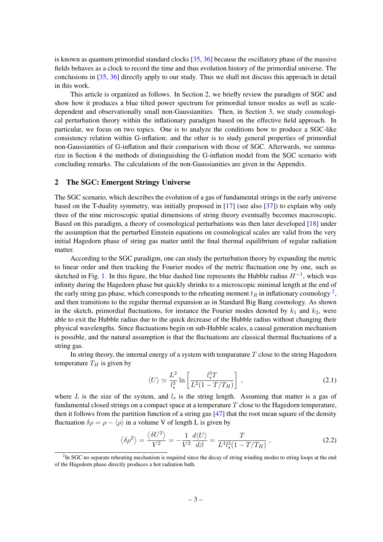is known as quantum primordial standard clocks [\[35,](#page-15-10) [36\]](#page-15-11) because the oscillatory phase of the massive fields behaves as a clock to record the time and thus evolution history of the primordial universe. The conclusions in [\[35,](#page-15-10) [36\]](#page-15-11) directly apply to our study. Thus we shall not discuss this approach in detail in this work.

This article is organized as follows. In Section 2, we briefly review the paradigm of SGC and show how it produces a blue tilted power spectrum for primordial tensor modes as well as scaledependent and observationally small non-Gaussianities. Then, in Section 3, we study cosmological perturbation theory within the inflationary paradigm based on the effective field approach. In particular, we focus on two topics. One is to analyze the conditions how to produce a SGC-like consistency relation within G-inflation; and the other is to study general properties of primordial non-Gaussianities of G-inflation and their comparison with those of SGC. Afterwards, we summarize in Section 4 the methods of distinguishing the G-inflation model from the SGC scenario with concluding remarks. The calculations of the non-Gaussianities are given in the Appendix.

#### <span id="page-3-0"></span>2 The SGC: Emergent Stringy Universe

The SGC scenario, which describes the evolution of a gas of fundamental strings in the early universe based on the T-duality symmetry, was initially proposed in [\[17\]](#page-14-13) (see also [\[37\]](#page-15-12)) to explain why only three of the nine microscopic spatial dimensions of string theory eventually becomes macroscopic. Based on this paradigm, a theory of cosmological perturbations was then later developed [\[18\]](#page-14-14) under the assumption that the perturbed Einstein equations on cosmological scales are valid from the very initial Hagedorn phase of string gas matter until the final thermal equilibrium of regular radiation matter.

According to the SGC paradigm, one can study the perturbation theory by expanding the metric to linear order and then tracking the Fourier modes of the metric fluctuation one by one, such as sketched in Fig. [1.](#page-4-0) In this figure, the blue dashed line represents the Hubble radius  $H^{-1}$ , which was infinity during the Hagedorn phase but quickly shrinks to a microscopic minimal length at the end of the early string gas phase, which corresponds to the reheating moment  $t_R$  in inflationary cosmology  $^2,$  $^2,$  $^2,$ and then transitions to the regular thermal expansion as in Standard Big Bang cosmology. As shown in the sketch, primordial fluctuations, for instance the Fourier modes denoted by  $k_1$  and  $k_2$ , were able to exit the Hubble radius due to the quick decrease of the Hubble radius without changing their physical wavelengths. Since fluctuations begin on sub-Hubble scales, a causal generation mechanism is possible, and the natural assumption is that the fluctuations are classical thermal fluctuations of a string gas.

In string theory, the internal energy of a system with temparature  $T$  close to the string Hagedorn temperature  $T_H$  is given by

<span id="page-3-2"></span>
$$
\langle U \rangle \simeq \frac{L^2}{l_s^3} \ln \left[ \frac{l_s^3 T}{L^2 (1 - T/T_H)} \right] \,, \tag{2.1}
$$

where  $L$  is the size of the system, and  $l_s$  is the string length. Assuming that matter is a gas of fundamental closed strings on a compact space at a temperature  $T$  close to the Hagedorn temperature, then it follows from the partition function of a string gas [\[47\]](#page-16-0) that the root mean square of the density fluctuation  $\delta \rho = \rho - \langle \rho \rangle$  in a volume V of length L is given by

$$
\left\langle \delta \rho^2 \right\rangle = \frac{\left\langle \delta U^2 \right\rangle}{V^2} = -\frac{1}{V^2} \frac{d\langle U \rangle}{d\beta} = \frac{T}{L^4 l_s^3 (1 - T/T_H)},\tag{2.2}
$$

<span id="page-3-1"></span><sup>&</sup>lt;sup>2</sup>In SGC no separate reheating mechanism is required since the decay of string winding modes to string loops at the end of the Hagedorn phase directly produces a hot radiation bath.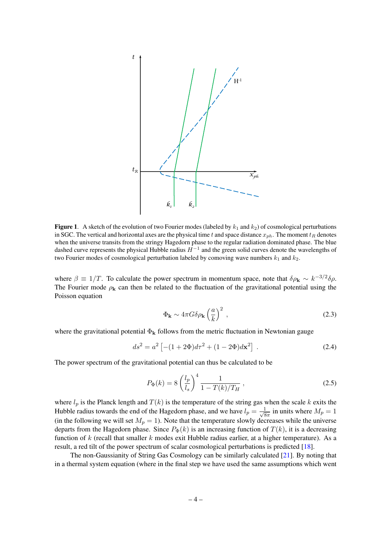

<span id="page-4-0"></span>**Figure 1.** A sketch of the evolution of two Fourier modes (labeled by  $k_1$  and  $k_2$ ) of cosmological perturbations in SGC. The vertical and horizontal axes are the physical time t and space distance  $x_{ph}$ . The moment  $t_R$  denotes when the universe transits from the stringy Hagedorn phase to the regular radiation dominated phase. The blue dashed curve represents the physical Hubble radius  $H^{-1}$  and the green solid curves denote the wavelengths of two Fourier modes of cosmological perturbation labeled by comoving wave numbers  $k_1$  and  $k_2$ .

where  $\beta \equiv 1/T$ . To calculate the power spectrum in momentum space, note that  $\delta \rho_{\bf k} \sim k^{-3/2} \delta \rho$ . The Fourier mode  $\rho_{\bf k}$  can then be related to the fluctuation of the gravitational potential using the Poisson equation

$$
\Phi_{\mathbf{k}} \sim 4\pi G \delta \rho_{\mathbf{k}} \left(\frac{a}{k}\right)^2 \,, \tag{2.3}
$$

where the gravitational potential  $\Phi_{\bf k}$  follows from the metric fluctuation in Newtonian gauge

$$
ds^{2} = a^{2} \left[ -(1+2\Phi)d\tau^{2} + (1-2\Phi)d\mathbf{x}^{2} \right] . \tag{2.4}
$$

The power spectrum of the gravitational potential can thus be calculated to be

$$
P_{\Phi}(k) = 8 \left(\frac{l_p}{l_s}\right)^4 \frac{1}{1 - T(k)/T_H},
$$
\n(2.5)

where  $l_p$  is the Planck length and  $T(k)$  is the temperature of the string gas when the scale k exits the Hubble radius towards the end of the Hagedorn phase, and we have  $l_p = \frac{1}{\sqrt{s}}$  $\frac{1}{8\pi}$  in units where  $M_p = 1$ (in the following we will set  $M_p = 1$ ). Note that the temperature slowly decreases while the universe departs from the Hagedorn phase. Since  $P_{\Phi}(k)$  is an increasing function of  $T(k)$ , it is a decreasing function of k (recall that smaller k modes exit Hubble radius earlier, at a higher temperature). As a result, a red tilt of the power spectrum of scalar cosmological perturbations is predicted [\[18\]](#page-14-14).

The non-Gaussianity of String Gas Cosmology can be similarly calculated [\[21\]](#page-15-0). By noting that in a thermal system equation (where in the final step we have used the same assumptions which went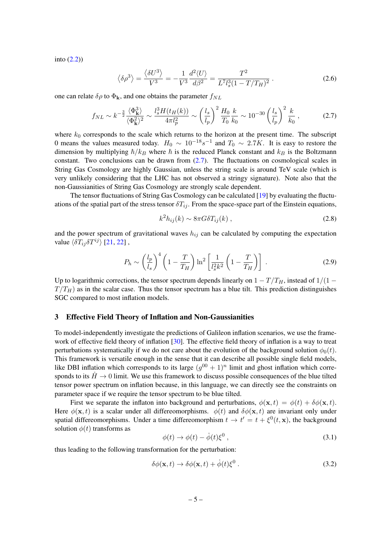into [\(2.2\)](#page-3-2))

$$
\left\langle \delta \rho^3 \right\rangle = \frac{\left\langle \delta U^3 \right\rangle}{V^3} = -\frac{1}{V^3} \frac{d^2 \langle U \rangle}{d\beta^2} = \frac{T^2}{L^7 l_s^3 (1 - T/T_H)^2} \,. \tag{2.6}
$$

one can relate  $\delta \rho$  to  $\Phi_{\mathbf{k}}$ , and one obtains the parameter  $f_{NL}$ 

$$
f_{NL} \sim k^{-\frac{3}{2}} \frac{\langle \Phi_k^3 \rangle}{\langle \Phi_k^2 \rangle^2} \sim \frac{l_s^3 H(t_H(k))}{4\pi l_p^2} \sim \left(\frac{l_s}{l_p}\right)^2 \frac{H_0}{T_0} \frac{k}{k_0} \sim 10^{-30} \left(\frac{l_s}{l_p}\right)^2 \frac{k}{k_0},\tag{2.7}
$$

where  $k_0$  corresponds to the scale which returns to the horizon at the present time. The subscript 0 means the values measured today.  $H_0 \sim 10^{-18} s^{-1}$  and  $T_0 \sim 2.7 K$ . It is easy to restore the dimension by multiplying  $\hbar/k_B$  where  $\hbar$  is the reduced Planck constant and  $k_B$  is the Boltzmann constant. Two conclusions can be drawn from  $(2.7)$ . The fluctuations on cosmological scales in String Gas Cosmology are highly Gaussian, unless the string scale is around TeV scale (which is very unlikely considering that the LHC has not observed a stringy signature). Note also that the non-Gaussianities of String Gas Cosmology are strongly scale dependent.

The tensor fluctuations of String Gas Cosmology can be calculated [\[19\]](#page-14-16) by evaluating the fluctuations of the spatial part of the stress tensor  $\delta T_{ij}$ . From the space-space part of the Einstein equations,

<span id="page-5-1"></span>
$$
k^2 h_{ij}(k) \sim 8\pi G \delta T_{ij}(k) , \qquad (2.8)
$$

and the power spectrum of gravitational waves  $h_{ij}$  can be calculated by computing the expectation value  $\langle \delta T_{ij} \delta T^{ij} \rangle$  [\[21,](#page-15-0) [22\]](#page-15-13),

$$
P_h \sim \left(\frac{l_p}{l_s}\right)^4 \left(1 - \frac{T}{T_H}\right) \ln^2 \left[\frac{1}{l_s^2 k^2} \left(1 - \frac{T}{T_H}\right)\right] \,. \tag{2.9}
$$

Up to logarithmic corrections, the tensor spectrum depends linearly on  $1 - T/T_H$ , instead of  $1/(1 T/T_H$ ) as in the scalar case. Thus the tensor spectrum has a blue tilt. This prediction distinguishes SGC compared to most inflation models.

#### <span id="page-5-0"></span>3 Effective Field Theory of Inflation and Non-Gaussianities

To model-independently investigate the predictions of Galileon inflation scenarios, we use the frame-work of effective field theory of inflation [\[30\]](#page-15-5). The effective field theory of inflation is a way to treat perturbations systematically if we do not care about the evolution of the background solution  $\phi_0(t)$ . This framework is versatile enough in the sense that it can describe all possible single field models, like DBI inflation which corresponds to its large  $(g^{00} + 1)^n$  limit and ghost inflation which corresponds to its  $\dot{H} \rightarrow 0$  limit. We use this framework to discuss possible consequences of the blue tilted tensor power spectrum on inflation because, in this language, we can directly see the constraints on parameter space if we require the tensor spectrum to be blue tilted.

First we separate the inflaton into background and perturbations,  $\phi(\mathbf{x}, t) = \phi(t) + \delta\phi(\mathbf{x}, t)$ . Here  $\phi(\mathbf{x}, t)$  is a scalar under all differeomorphisms.  $\phi(t)$  and  $\delta\phi(\mathbf{x}, t)$  are invariant only under spatial differeomorphisms. Under a time differeomorphism  $t \to t' = t + \xi^0(t, \mathbf{x})$ , the background solution  $\phi(t)$  transforms as

<span id="page-5-2"></span>
$$
\phi(t) \to \phi(t) - \dot{\phi}(t)\xi^0 , \qquad (3.1)
$$

thus leading to the following transformation for the perturbation:

$$
\delta\phi(\mathbf{x},t) \to \delta\phi(\mathbf{x},t) + \dot{\phi}(t)\xi^0. \tag{3.2}
$$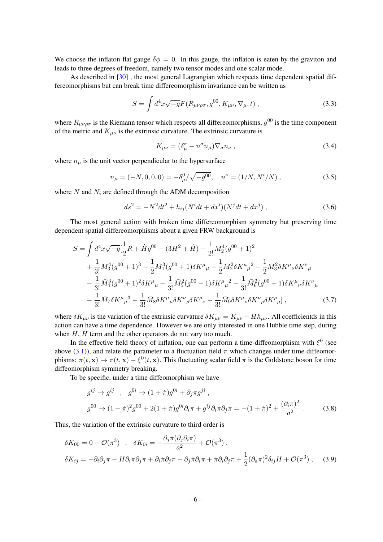We choose the inflaton flat gauge  $\delta \phi = 0$ . In this gauge, the inflaton is eaten by the graviton and leads to three degrees of freedom, namely two tensor modes and one scalar mode.

As described in [\[30\]](#page-15-5), the most general Lagrangian which respects time dependent spatial differeomorphisms but can break time differeomorphism invariance can be written as

$$
S = \int d^4x \sqrt{-g} F(R_{\mu\nu\rho\sigma}, g^{00}, K_{\mu\nu}, \nabla_{\mu}, t) ,
$$
 (3.3)

where  $R_{\mu\nu\rho\sigma}$  is the Riemann tensor which respects all differeomorphisms,  $g^{00}$  is the time component of the metric and  $K_{\mu\nu}$  is the extrinsic curvature. The extrinsic curvature is

$$
K_{\mu\nu} = (\delta^{\sigma}_{\mu} + n^{\sigma} n_{\mu}) \nabla_{\sigma} n_{\nu} , \qquad (3.4)
$$

where  $n_{\mu}$  is the unit vector perpendicular to the hypersurface

$$
n_{\mu} = (-N, 0, 0, 0) = -\delta_{\mu}^{0} / \sqrt{-g^{00}}, \quad n^{\nu} = (1/N, N^{i}/N) , \qquad (3.5)
$$

where  $N$  and  $N_i$  are defined through the ADM decomposition

$$
ds^{2} = -N^{2}dt^{2} + h_{ij}(N^{i}dt + dx^{i})(N^{j}dt + dx^{j}),
$$
\n(3.6)

The most general action with broken time differeomorphism symmetry but preserving time dependent spatial differeomorphisms about a given FRW background is

$$
S = \int d^4x \sqrt{-g} \left[ \frac{1}{2}R + \dot{H}g^{00} - (3H^2 + \dot{H}) + \frac{1}{2!}M_2^4(g^{00} + 1)^2 \right. \\
\left. + \frac{1}{3!}M_3^4(g^{00} + 1)^3 - \frac{1}{2}\bar{M}_1^3(g^{00} + 1)\delta K^\mu{}_\mu - \frac{1}{2}\bar{M}_2^2\delta K^\mu{}_\mu{}^2 - \frac{1}{2}\bar{M}_3^2\delta K^\mu{}_\nu\delta K^\nu{}_\mu \right. \\
\left. - \frac{1}{3!}\bar{M}_4^3(g^{00} + 1)^2\delta K^\mu{}_\mu - \frac{1}{3!}\bar{M}_5^2(g^{00} + 1)\delta K^\mu{}_\mu{}^2 - \frac{1}{3!}\bar{M}_6^2(g^{00} + 1)\delta K^\mu{}_\nu\delta K^\nu{}_\mu \right. \\
\left. - \frac{1}{3!}\bar{M}_7\delta K^\mu{}_\mu{}^3 - \frac{1}{3!}\bar{M}_8\delta K^\mu{}_\mu\delta K^\nu{}_\rho\delta K^\rho{}_\nu - \frac{1}{3!}\bar{M}_9\delta K^\mu{}_\nu\delta K^\nu{}_\rho\delta K^\rho{}_\mu \right],
$$
\n(3.7)

where  $\delta K_{\mu\nu}$  is the variation of the extrinsic curvature  $\delta K_{\mu\nu} = K_{\mu\nu} - H h_{\mu\nu}$ . All coefficientds in this action can have a time dependence. However we are only interested in one Hubble time step, during when  $H$ ,  $\dot{H}$  term and the other operators do not vary too much.

In the effective field theory of inflation, one can perform a time-diffeomorphism with  $\xi^0$  (see above [\(3.1\)](#page-5-2)), and relate the parameter to a fluctuation field  $\pi$  which changes under time diffeomorphisms:  $\pi(t, \mathbf{x}) \to \pi(t, \mathbf{x}) - \xi^0(t, \mathbf{x})$ . This fluctuating scalar field  $\pi$  is the Goldstone boson for time diffeomorphism symmetry breaking.

To be specific, under a time diffeomorphism we have

$$
g^{ij} \to g^{ij} \quad , \quad g^{0i} \to (1+\pi)g^{0i} + \partial_j \pi g^{ji} \,,
$$
  

$$
g^{00} \to (1+\pi)^2 g^{00} + 2(1+\pi)g^{0i} \partial_i \pi + g^{ij} \partial_i \pi \partial_j \pi = -(1+\pi)^2 + \frac{(\partial_i \pi)^2}{a^2} \,. \tag{3.8}
$$

Thus, the variation of the extrinsic curvature to third order is

$$
\delta K_{00} = 0 + \mathcal{O}(\pi^3) , \quad \delta K_{0i} = -\frac{\partial_j \pi (\partial_j \partial_i \pi)}{a^2} + \mathcal{O}(\pi^3) ,
$$
  

$$
\delta K_{ij} = -\partial_i \partial_j \pi - H \partial_i \pi \partial_j \pi + \partial_i \pi \partial_j \pi + \partial_j \pi \partial_i \pi + \pi \partial_i \partial_j \pi + \frac{1}{2} (\partial_a \pi)^2 \delta_{ij} H + \mathcal{O}(\pi^3) , \quad (3.9)
$$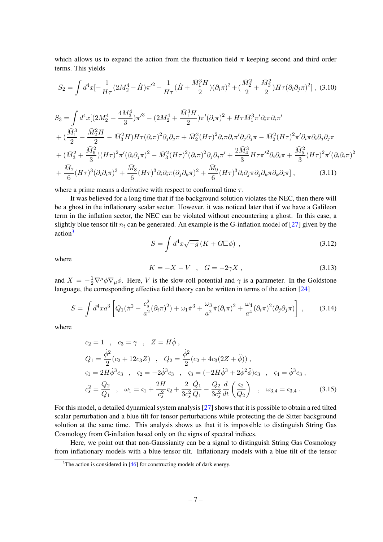which allows us to expand the action from the fluctuation field  $\pi$  keeping second and third order terms. This yields

<span id="page-7-1"></span>
$$
S_2 = \int d^4x \left[ -\frac{1}{H\tau} (2M_2^4 - \dot{H})\pi'^2 - \frac{1}{H\tau} (\dot{H} + \frac{\bar{M}_1^3 H}{2}) (\partial_i \pi)^2 + (\frac{\bar{M}_2^2}{2} + \frac{\bar{M}_3^2}{2}) H\tau (\partial_i \partial_j \pi)^2 \right], \tag{3.10}
$$

$$
S_{3} = \int d^{4}x \left[ (2M_{2}^{4} - \frac{4M_{3}^{4}}{3})\pi'^{3} - (2M_{2}^{4} + \frac{\bar{M}_{1}^{3}H}{2})\pi'(\partial_{i}\pi)^{2} + H\tau \bar{M}_{1}^{3}\pi'\partial_{i}\pi\partial_{i}\pi' \right. \\ \left. + (\frac{\bar{M}_{1}^{3}}{2} - \frac{\bar{M}_{2}^{2}H}{2} - \bar{M}_{3}^{2}H)H\tau(\partial_{i}\pi)^{2}\partial_{j}\partial_{j}\pi + \bar{M}_{2}^{2}(H\tau)^{2}\partial_{i}\pi\partial_{i}\pi'\partial_{j}\partial_{j}\pi - \bar{M}_{2}^{2}(H\tau)^{2}\pi'\partial_{i}\pi\partial_{i}\partial_{j}\partial_{j}\pi \right. \\ \left. + (\bar{M}_{3}^{2} + \frac{\bar{M}_{6}^{2}}{3})(H\tau)^{2}\pi'(\partial_{i}\partial_{j}\pi)^{2} - \bar{M}_{3}^{2}(H\tau)^{2}(\partial_{i}\pi)^{2}\partial_{j}\partial_{j}\pi' + \frac{2\bar{M}_{4}^{3}}{3}H\tau\pi'^{2}\partial_{i}\partial_{i}\pi + \frac{\bar{M}_{5}^{2}}{3}(H\tau)^{2}\pi'(\partial_{i}\partial_{i}\pi)^{2} \right. \\ \left. + \frac{\bar{M}_{7}}{6}(H\tau)^{3}(\partial_{i}\partial_{i}\pi)^{3} + \frac{\bar{M}_{8}}{6}(H\tau)^{3}\partial_{i}\partial_{i}\pi(\partial_{j}\partial_{k}\pi)^{2} + \frac{\bar{M}_{9}}{6}(H\tau)^{3}\partial_{i}\partial_{j}\pi\partial_{j}\partial_{k}\pi\partial_{k}\partial_{i}\pi \right], \tag{3.11}
$$

where a prime means a derivative with respect to conformal time  $\tau$ .

It was believed for a long time that if the background solution violates the NEC, then there will be a ghost in the inflationary scalar sector. However, it was noticed later that if we have a Galileon term in the inflation sector, the NEC can be violated without encountering a ghost. In this case, a slightly blue tensor tilt  $n_t$  can be generated. An example is the G-inflation model of [\[27\]](#page-15-4) given by the action<sup>[3](#page-7-0)</sup>

$$
S = \int d^4x \sqrt{-g} \left( K + G \Box \phi \right) , \qquad (3.12)
$$

where

$$
K = -X - V \quad , \quad G = -2\gamma X \tag{3.13}
$$

and  $X = -\frac{1}{2}\nabla^{\mu}\phi\nabla_{\mu}\phi$ . Here, V is the slow-roll potential and  $\gamma$  is a parameter. In the Goldstone language, the corresponding effective field theory can be written in terms of the action [\[24\]](#page-15-14)

$$
S = \int d^4x a^3 \left[ Q_1(\dot{\pi}^2 - \frac{c_s^2}{a^2} (\partial_i \pi)^2) + \omega_1 \dot{\pi}^3 + \frac{\omega_3}{a^2} \dot{\pi} (\partial_i \pi)^2 + \frac{\omega_4}{a^4} (\partial_i \pi)^2 (\partial_j \partial_j \pi) \right],
$$
 (3.14)

where

$$
c_2 = 1 \t, \t c_3 = \gamma \t, \t Z = H\dot{\phi} ,
$$
  
\n
$$
Q_1 = \frac{\dot{\phi}^2}{2}(c_2 + 12c_3Z) \t, \t Q_2 = \frac{\dot{\phi}^2}{2}(c_2 + 4c_3(2Z + \ddot{\phi})) ,
$$
  
\n
$$
\varsigma_1 = 2H\dot{\phi}^3c_3 \t, \t \varsigma_2 = -2\dot{\phi}^3c_3 \t, \t \varsigma_3 = (-2H\dot{\phi}^3 + 2\dot{\phi}^2\ddot{\phi})c_3 \t, \t \varsigma_4 = \dot{\phi}^3c_3 ,
$$
  
\n
$$
c_s^2 = \frac{Q_2}{Q_1} \t, \t \omega_1 = \varsigma_1 + \frac{2H}{c_s^2}\varsigma_2 + \frac{2}{3c_s^2}\frac{\dot{Q}_1}{Q_1} - \frac{Q_2}{3c_s^2}\frac{d}{dt}\left(\frac{\varsigma_2}{Q_2}\right) \t, \t \omega_{3,4} = \varsigma_{3,4} .
$$
\n(3.15)

For this model, a detailed dynamical system analysis [\[27\]](#page-15-4) shows that it is possible to obtain a red tilted scalar perturbation and a blue tilt for tensor perturbations while protecting the de Sitter background solution at the same time. This analysis shows us that it is impossible to distinguish String Gas Cosmology from G-inflation based only on the signs of spectral indices.

Here, we point out that non-Gaussianity can be a signal to distinguish String Gas Cosmology from inflationary models with a blue tensor tilt. Inflationary models with a blue tilt of the tensor

<span id="page-7-0"></span> $3$ The action is considered in [\[46\]](#page-16-1) for constructing models of dark energy.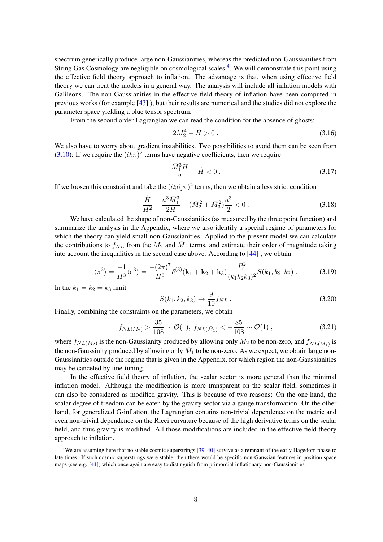spectrum generically produce large non-Gaussianities, whereas the predicted non-Gaussianities from String Gas Cosmology are negligible on cosmological scales <sup>[4](#page-8-0)</sup>. We will demonstrate this point using the effective field theory approach to inflation. The advantage is that, when using effective field theory we can treat the models in a general way. The analysis will include all inflation models with Galileons. The non-Gaussianities in the effective field theory of inflation have been computed in previous works (for example [\[43\]](#page-16-2) ), but their results are numerical and the studies did not explore the parameter space yielding a blue tensor spectrum.

From the second order Lagrangian we can read the condition for the absence of ghosts:

$$
2M_2^4 - \dot{H} > 0 \tag{3.16}
$$

We also have to worry about gradient instabilities. Two possibilities to avoid them can be seen from [\(3.10\)](#page-7-1): If we require the  $(\partial_i \pi)^2$  terms have negative coefficients, then we require

$$
\frac{\bar{M}_1^3 H}{2} + \dot{H} < 0 \,. \tag{3.17}
$$

If we loosen this constraint and take the  $(\partial_i \partial_j \pi)^2$  terms, then we obtain a less strict condition

$$
\frac{\dot{H}}{H^2} + \frac{a^3 \bar{M}_1^3}{2H} - (\bar{M}_2^2 + \bar{M}_3^2)\frac{a^3}{2} < 0\,. \tag{3.18}
$$

We have calculated the shape of non-Gaussianities (as measured by the three point function) and summarize the analysis in the Appendix, where we also identify a special regime of parameters for which the theory can yield small non-Gaussianities. Applied to the present model we can calculate the contributions to  $f_{NL}$  from the  $M_2$  and  $\overline{M}_1$  terms, and estimate their order of magnitude taking into account the inequalities in the second case above. According to [\[44\]](#page-16-3) , we obtain

$$
\langle \pi^3 \rangle = \frac{-1}{H^3} \langle \zeta^3 \rangle = \frac{-(2\pi)^7}{H^3} \delta^{(3)}(\mathbf{k}_1 + \mathbf{k}_2 + \mathbf{k}_3) \frac{P_\zeta^2}{(k_1 k_2 k_3)^2} S(k_1, k_2, k_3) \,. \tag{3.19}
$$

In the  $k_1 = k_2 = k_3$  limit

$$
S(k_1, k_2, k_3) \to \frac{9}{10} f_{NL} , \qquad (3.20)
$$

Finally, combining the constraints on the parameters, we obtain

$$
f_{NL(M_2)} > \frac{35}{108} \sim \mathcal{O}(1), \ f_{NL(\bar{M}_1)} < -\frac{85}{108} \sim \mathcal{O}(1), \tag{3.21}
$$

where  $f_{NL(M_2)}$  is the non-Gaussianity produced by allowing only  $M_2$  to be non-zero, and  $f_{NL(\bar{M}_1)}$  is the non-Gaussinity produced by allowing only  $\bar{M}_1$  to be non-zero. As we expect, we obtain large non-Gaussianities outside the regime that is given in the Appendix, for which region the non-Gaussianities may be canceled by fine-tuning.

In the effective field theory of inflation, the scalar sector is more general than the minimal inflation model. Although the modification is more transparent on the scalar field, sometimes it can also be considered as modified gravity. This is because of two reasons: On the one hand, the scalar degree of freedom can be eaten by the gravity sector via a gauge transformation. On the other hand, for generalized G-inflation, the Lagrangian contains non-trivial dependence on the metric and even non-trivial dependence on the Ricci curvature because of the high derivative terms on the scalar field, and thus gravity is modified. All those modifications are included in the effective field theory approach to inflation.

<span id="page-8-0"></span><sup>&</sup>lt;sup>4</sup>We are assuming here that no stable cosmic superstrings [\[39,](#page-15-15) [40\]](#page-15-16) survive as a remnant of the early Hagedorn phase to late times. If such cosmic superstrings were stable, then there would be specific non-Gaussian features in position space maps (see e.g. [\[41\]](#page-15-17)) which once again are easy to distinguish from primordial inflationary non-Gaussianities.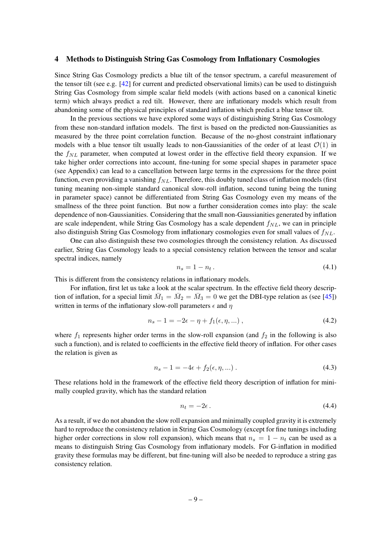### <span id="page-9-0"></span>4 Methods to Distinguish String Gas Cosmology from Inflationary Cosmologies

Since String Gas Cosmology predicts a blue tilt of the tensor spectrum, a careful measurement of the tensor tilt (see e.g.  $[42]$  for current and predicted observational limits) can be used to distinguish String Gas Cosmology from simple scalar field models (with actions based on a canonical kinetic term) which always predict a red tilt. However, there are inflationary models which result from abandoning some of the physical principles of standard inflation which predict a blue tensor tilt.

In the previous sections we have explored some ways of distinguishing String Gas Cosmology from these non-standard inflation models. The first is based on the predicted non-Gaussianities as measured by the three point correlation function. Because of the no-ghost constraint inflationary models with a blue tensor tilt usually leads to non-Gaussianities of the order of at least  $\mathcal{O}(1)$  in the  $f_{NL}$  parameter, when computed at lowest order in the effective field theory expansion. If we take higher order corrections into account, fine-tuning for some special shapes in parameter space (see Appendix) can lead to a cancellation between large terms in the expressions for the three point function, even providing a vanishing  $f_{NL}$ . Therefore, this doubly tuned class of inflation models (first tuning meaning non-simple standard canonical slow-roll inflation, second tuning being the tuning in parameter space) cannot be differentiated from String Gas Cosmology even my means of the smallness of the three point function. But now a further consideration comes into play: the scale dependence of non-Gaussianities. Considering that the small non-Gaussianities generated by inflation are scale independent, while String Gas Cosmology has a scale dependent  $f_{NL}$ , we can in principle also distinguish String Gas Cosmology from inflationary cosmologies even for small values of  $f_{NL}$ .

One can also distinguish these two cosmologies through the consistency relation. As discussed earlier, String Gas Cosmology leads to a special consistency relation between the tensor and scalar spectral indices, namely

$$
n_s = 1 - n_t. \tag{4.1}
$$

This is different from the consistency relations in inflationary models.

For inflation, first let us take a look at the scalar spectrum. In the effective field theory description of inflation, for a special limit  $\overline{M}_1 = \overline{M}_2 = \overline{M}_3 = 0$  we get the DBI-type relation as (see [\[45\]](#page-16-5)) written in terms of the inflationary slow-roll parameters  $\epsilon$  and  $\eta$ 

$$
n_s - 1 = -2\epsilon - \eta + f_1(\epsilon, \eta, \ldots) \,, \tag{4.2}
$$

where  $f_1$  represents higher order terms in the slow-roll expansion (and  $f_2$  in the following is also such a function), and is related to coefficients in the effective field theory of inflation. For other cases the relation is given as

$$
n_s - 1 = -4\epsilon + f_2(\epsilon, \eta, \ldots) \,. \tag{4.3}
$$

These relations hold in the framework of the effective field theory description of inflation for minimally coupled gravity, which has the standard relation

$$
n_t = -2\epsilon \,. \tag{4.4}
$$

As a result, if we do not abandon the slow roll expansion and minimally coupled gravity it is extremely hard to reproduce the consistency relation in String Gas Cosmology (except for fine tunings including higher order corrections in slow roll expansion), which means that  $n_s = 1 - n_t$  can be used as a means to distinguish String Gas Cosmology from inflationary models. For G-inflation in modified gravity these formulas may be different, but fine-tuning will also be needed to reproduce a string gas consistency relation.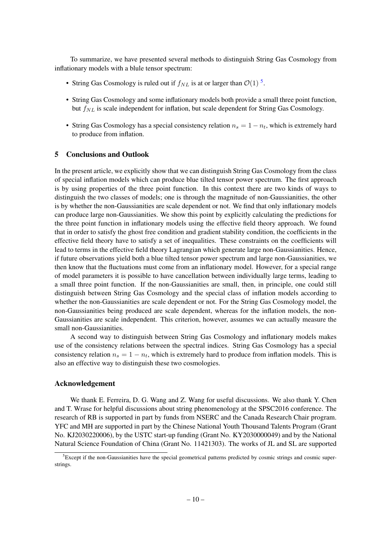To summarize, we have presented several methods to distinguish String Gas Cosmology from inflationary models with a blule tensor spectrum:

- String Gas Cosmology is ruled out if  $f_{NL}$  is at or larger than  $\mathcal{O}(1)^5$  $\mathcal{O}(1)^5$ .
- String Gas Cosmology and some inflationary models both provide a small three point function, but  $f_{NL}$  is scale independent for inflation, but scale dependent for String Gas Cosmology.
- String Gas Cosmology has a special consistency relation  $n_s = 1 n_t$ , which is extremely hard to produce from inflation.

### <span id="page-10-0"></span>5 Conclusions and Outlook

In the present article, we explicitly show that we can distinguish String Gas Cosmology from the class of special inflation models which can produce blue tilted tensor power spectrum. The first approach is by using properties of the three point function. In this context there are two kinds of ways to distinguish the two classes of models; one is through the magnitude of non-Gaussianities, the other is by whether the non-Gaussianities are scale dependent or not. We find that only inflationary models can produce large non-Gaussianities. We show this point by explicitly calculating the predictions for the three point function in inflationary models using the effective field theory approach. We found that in order to satisfy the ghost free condition and gradient stability condition, the coefficients in the effective field theory have to satisfy a set of inequalities. These constraints on the coefficients will lead to terms in the effective field theory Lagrangian which generate large non-Gaussianities. Hence, if future observations yield both a blue tilted tensor power spectrum and large non-Gaussianities, we then know that the fluctuations must come from an inflationary model. However, for a special range of model parameters it is possible to have cancellation between individually large terms, leading to a small three point function. If the non-Gaussianities are small, then, in principle, one could still distinguish between String Gas Cosmology and the special class of inflation models according to whether the non-Gaussianities are scale dependent or not. For the String Gas Cosmology model, the non-Gaussianities being produced are scale dependent, whereas for the inflation models, the non-Gaussianities are scale independent. This criterion, however, assumes we can actually measure the small non-Gaussianities.

A second way to distinguish between String Gas Cosmology and inflationary models makes use of the consistency relations between the spectral indices. String Gas Cosmology has a special consistency relation  $n_s = 1 - n_t$ , which is extremely hard to produce from inflation models. This is also an effective way to distinguish these two cosmologies.

# Acknowledgement

We thank E. Ferreira, D. G. Wang and Z. Wang for useful discussions. We also thank Y. Chen and T. Wrase for helpful discussions about string phenomenology at the SPSC2016 conference. The research of RB is supported in part by funds from NSERC and the Canada Research Chair program. YFC and MH are supported in part by the Chinese National Youth Thousand Talents Program (Grant No. KJ2030220006), by the USTC start-up funding (Grant No. KY2030000049) and by the National Natural Science Foundation of China (Grant No. 11421303). The works of JL and SL are supported

<span id="page-10-1"></span><sup>&</sup>lt;sup>5</sup>Except if the non-Gaussianities have the special geometrical patterns predicted by cosmic strings and cosmic superstrings.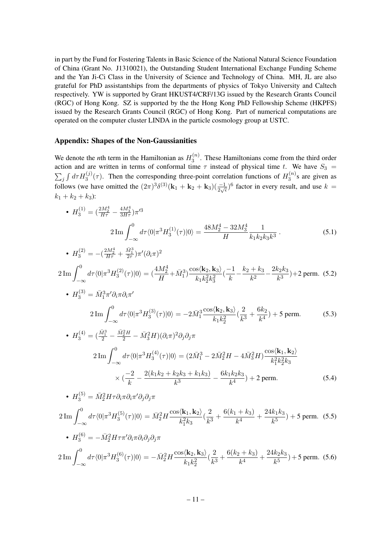in part by the Fund for Fostering Talents in Basic Science of the National Natural Science Foundation of China (Grant No. J1310021), the Outstanding Student International Exchange Funding Scheme and the Yan Ji-Ci Class in the University of Science and Technology of China. MH, JL are also grateful for PhD assistantships from the departments of physics of Tokyo University and Caltech respectively. YW is supported by Grant HKUST4/CRF/13G issued by the Research Grants Council (RGC) of Hong Kong. SZ is supported by the the Hong Kong PhD Fellowship Scheme (HKPFS) issued by the Research Grants Council (RGC) of Hong Kong. Part of numerical computations are operated on the computer cluster LINDA in the particle cosmology group at USTC.

## Appendix: Shapes of the Non-Gaussianities

We denote the *n*th term in the Hamiltonian as  $H_3^{(n)}$  $3^{(n)}$ . These Hamiltonians come from the third order action and are written in terms of conformal time  $\tau$  instead of physical time t. We have  $S_3$  =  $\sum_j \int d\tau H_3^{(j)}(\tau)$ . Then the corresponding three-point correlation functions of  $H_3^{(n)}$  $3^{(n)}$ s are given as follows (we have omitted the  $(2\pi)^3 \delta^{(3)}(\mathbf{k}_1 + \mathbf{k}_2 + \mathbf{k}_3)(\frac{-1}{2\sqrt{\epsilon}})^6$  factor in every result, and use  $k =$  $k_1 + k_2 + k_3$ :

• 
$$
H_3^{(1)} = \left(\frac{2M_2^4}{H\tau} - \frac{4M_3^4}{3H\tau}\right)\pi'^3
$$
  
\n
$$
2\operatorname{Im} \int_{-\infty}^0 d\tau \langle 0|\pi^3 H_3^{(1)}(\tau)|0\rangle = \frac{48M_2^4 - 32M_3^4}{H} \frac{1}{k_1k_2k_3k^3}.
$$
\n(5.1)

• 
$$
H_3^{(2)} = -(\frac{2M_2^4}{H\tau} + \frac{\bar{M}_1^3}{2\tau})\pi'(\partial_i \pi)^2
$$

 $(2)$ 

$$
2\operatorname{Im}\int_{-\infty}^{0} d\tau \langle 0|\pi^{3}H_{3}^{(2)}(\tau)|0\rangle = \left(\frac{4M_{2}^{4}}{H} + \bar{M}_{1}^{3}\right) \frac{\cos\langle \mathbf{k}_{2}, \mathbf{k}_{3}\rangle}{k_{1}k_{2}^{2}k_{3}^{2}} \left(\frac{-1}{k} - \frac{k_{2} + k_{3}}{k^{2}} - \frac{2k_{2}k_{3}}{k^{3}}\right) + 2 \text{ perm. (5.2)}
$$

• 
$$
H_3^{(3)} = \bar{M}_1^3 \pi' \partial_i \pi \partial_i \pi'
$$
  
\n
$$
2 \operatorname{Im} \int_{-\infty}^0 d\tau \langle 0 | \pi^3 H_3^{(3)}(\tau) | 0 \rangle = -2 \bar{M}_1^3 \frac{\cos \langle k_2, k_3 \rangle}{k_1 k_2^2} \left( \frac{2}{k^3} + \frac{6k_2}{k^4} \right) + 5 \text{ perm.}
$$
\n(5.3)

• 
$$
H_3^{(4)} = (\frac{\bar{M}_1^3}{2} - \frac{\bar{M}_2^2 H}{2} - \bar{M}_3^2 H)(\partial_i \pi)^2 \partial_j \partial_j \pi
$$
  
\n
$$
2 \operatorname{Im} \int_{-\infty}^0 d\tau \langle 0 | \pi^3 H_3^{(4)}(\tau) | 0 \rangle = (2\bar{M}_1^3 - 2\bar{M}_2^2 H - 4\bar{M}_3^2 H) \frac{\cos \langle \mathbf{k}_1, \mathbf{k}_2 \rangle}{k_1^2 k_2^2 k_3}
$$
\n
$$
\times (\frac{-2}{k} - \frac{2(k_1 k_2 + k_2 k_3 + k_1 k_3)}{k^3} - \frac{6k_1 k_2 k_3}{k^4}) + 2 \text{ perm.}
$$
\n(5.4)

• 
$$
H_3^{(5)} = \bar{M}_2^2 H \tau \partial_i \pi \partial_i \pi' \partial_j \partial_j \pi
$$
  
\n
$$
2 \operatorname{Im} \int_{-\infty}^0 d\tau \langle 0 | \pi^3 H_3^{(5)}(\tau) | 0 \rangle = \bar{M}_2^2 H \frac{\cos \langle \mathbf{k}_1, \mathbf{k}_2 \rangle}{k_1^2 k_3} \left( \frac{2}{k^3} + \frac{6(k_1 + k_3)}{k^4} + \frac{24k_1k_3}{k^5} \right) + 5 \text{ perm. (5.5)}
$$
\n•  $H_3^{(6)} = -\bar{M}_2^2 H \tau \pi' \partial_i \pi \partial_i \partial_j \partial_j \pi$   
\n
$$
2 \operatorname{Im} \int_{-\infty}^0 d\tau \langle 0 | \pi^3 H_3^{(6)}(\tau) | 0 \rangle = -\bar{M}_2^2 H \frac{\cos \langle \mathbf{k}_2, \mathbf{k}_3 \rangle}{k_1 k_2^2} \left( \frac{2}{k^3} + \frac{6(k_2 + k_3)}{k^4} + \frac{24k_2k_3}{k^5} \right) + 5 \text{ perm. (5.6)}
$$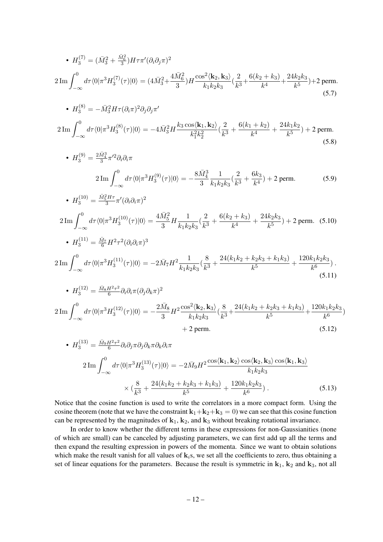• 
$$
H_3^{(7)} = (\bar{M}_3^2 + \frac{\bar{M}_6^2}{3})H\tau\pi'(\partial_i\partial_j\pi)^2
$$
  
\n $2 \text{Im} \int_{-\infty}^0 d\tau (0|\pi^3 H_3^{(7)}(\tau)|0\rangle = (4\bar{M}_3^2 + \frac{4\bar{M}_6^2}{3})H \frac{\cos^2(k_2, k_3)}{k_1k_2k_3} (\frac{2}{k^3} + \frac{6(k_2 + k_3)}{k^4} + \frac{24k_2k_3}{k^5}) + 2 \text{ perm.}$   
\n•  $H_3^{(8)} = -\bar{M}_3^2 H\tau (\partial_i\pi)^2 \partial_j \partial_j \pi'$   
\n $2 \text{Im} \int_{-\infty}^0 d\tau \langle 0|\pi^3 H_3^{(8)}(\tau)|0\rangle = -4\bar{M}_3^2 H \frac{k_3 \cos(k_1, k_2)}{k_1^2 k_2^2} (\frac{2}{k^3} + \frac{6(k_1 + k_2)}{k^4} + \frac{24k_1k_2}{k^5}) + 2 \text{ perm.}$   
\n•  $H_3^{(9)} = \frac{2\bar{M}_3^3}{3}\pi'^2 \partial_i \partial_i \pi$   
\n $2 \text{Im} \int_{-\infty}^0 d\tau (0|\pi^3 H_3^{(9)}(\tau)|0\rangle = -\frac{8\bar{M}_3^3}{3} \frac{1}{k_1k_2k_3} (\frac{2}{k^3} + \frac{6k_3}{k^4}) + 2 \text{ perm.}$   
\n•  $H_3^{(10)} = \frac{\bar{M}_5^2 H\tau}{3} \pi' (\partial_i \partial_i \pi)^2$   
\n $2 \text{Im} \int_{-\infty}^0 d\tau \langle 0|\pi^3 H_3^{(10)}(\tau)|0\rangle = \frac{4\bar{M}_5^2}{3} H \frac{1}{k_1k_2k_3} (\frac{2}{k^3} + \frac{6(k_2 + k_3)}{k^4} + \frac{24k_2k_3}{k^5}) + 2 \text{ perm.}$   
\n•  $H_3^{(11)} = \frac{\bar{M}_7}{6} H^2 \tau^2 (\partial_i \partial_i \pi)^3$   
\

$$
H_3^{(13)} = \frac{M_9 H^2 \tau^2}{6} \partial_i \partial_j \pi \partial_j \partial_k \pi \partial_k \partial_i \pi
$$
  

$$
2 \operatorname{Im} \int_{-\infty}^0 d\tau \langle 0 | \pi^3 H_3^{(13)}(\tau) | 0 \rangle = -2 \bar{M}_9 H^2 \frac{\cos \langle \mathbf{k}_1, \mathbf{k}_2 \rangle \cos \langle \mathbf{k}_2, \mathbf{k}_3 \rangle \cos \langle \mathbf{k}_1, \mathbf{k}_3 \rangle}{k_1 k_2 k_3}
$$
  

$$
\times \left( \frac{8}{k^3} + \frac{24(k_1 k_2 + k_2 k_3 + k_1 k_3)}{k^5} + \frac{120 k_1 k_2 k_3}{k^6} \right). \tag{5.13}
$$

Notice that the cosine function is used to write the correlators in a more compact form. Using the cosine theorem (note that we have the constraint  $\mathbf{k}_1+\mathbf{k}_2+\mathbf{k}_3 = 0$ ) we can see that this cosine function can be represented by the magnitudes of  $k_1$ ,  $k_2$ , and  $k_3$  without breaking rotational invariance.

In order to know whether the different terms in these expressions for non-Gaussianities (none of which are small) can be canceled by adjusting parameters, we can first add up all the terms and then expand the resulting expression in powers of the momenta. Since we want to obtain solutions which make the result vanish for all values of  $k_i$ s, we set all the coefficients to zero, thus obtaining a set of linear equations for the parameters. Because the result is symmetric in  $k_1$ ,  $k_2$  and  $k_3$ , not all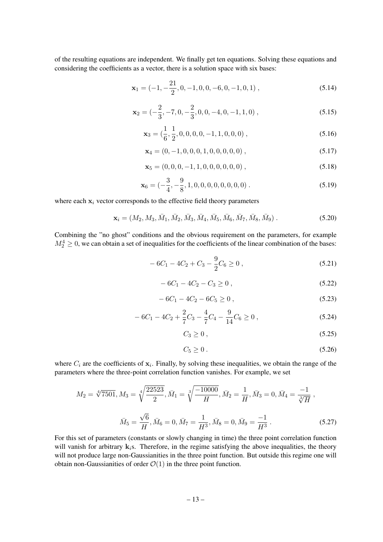of the resulting equations are independent. We finally get ten equations. Solving these equations and considering the coefficients as a vector, there is a solution space with six bases:

$$
\mathbf{x}_1 = (-1, -\frac{21}{2}, 0, -1, 0, 0, -6, 0, -1, 0, 1), \tag{5.14}
$$

$$
\mathbf{x}_2 = \left(-\frac{2}{3}, -7, 0, -\frac{2}{3}, 0, 0, -4, 0, -1, 1, 0\right),\tag{5.15}
$$

$$
\mathbf{x}_3 = \left(\frac{1}{6}, \frac{1}{2}, 0, 0, 0, 0, -1, 1, 0, 0, 0\right),\tag{5.16}
$$

$$
\mathbf{x}_4 = (0, -1, 0, 0, 0, 1, 0, 0, 0, 0, 0), \tag{5.17}
$$

$$
\mathbf{x}_5 = (0, 0, 0, -1, 1, 0, 0, 0, 0, 0, 0), \tag{5.18}
$$

$$
\mathbf{x}_6 = (-\frac{3}{4}, -\frac{9}{8}, 1, 0, 0, 0, 0, 0, 0, 0, 0).
$$
 (5.19)

where each  $x_i$  vector corresponds to the effective field theory parameters

$$
\mathbf{x}_{i} = (M_{2}, M_{3}, \bar{M}_{1}, \bar{M}_{2}, \bar{M}_{3}, \bar{M}_{4}, \bar{M}_{5}, \bar{M}_{6}, \bar{M}_{7}, \bar{M}_{8}, \bar{M}_{9})
$$
 (5.20)

Combining the "no ghost" conditions and the obvious requirement on the parameters, for example  $M_2^4 \geq 0$ , we can obtain a set of inequalities for the coefficients of the linear combination of the bases:

$$
-6C_1 - 4C_2 + C_3 - \frac{9}{2}C_6 \ge 0,
$$
\n(5.21)

$$
-6C_1 - 4C_2 - C_3 \ge 0,
$$
\n(5.22)

$$
-6C_1 - 4C_2 - 6C_5 \ge 0,
$$
\n(5.23)

$$
-6C_1 - 4C_2 + \frac{2}{7}C_3 - \frac{4}{7}C_4 - \frac{9}{14}C_6 \ge 0,
$$
\n(5.24)

$$
C_3 \geq 0, \tag{5.25}
$$

$$
C_5 \ge 0. \tag{5.26}
$$

where  $C_i$  are the coefficients of  $x_i$ . Finally, by solving these inequalities, we obtain the range of the parameters where the three-point correlation function vanishes. For example, we set

$$
M_2 = \sqrt[4]{7501}, M_3 = \sqrt[4]{\frac{22523}{2}}, \bar{M}_1 = \sqrt[3]{\frac{-10000}{H}}, \bar{M}_2 = \frac{1}{H}, \bar{M}_3 = 0, \bar{M}_4 = \frac{-1}{\sqrt[3]{H}},
$$
  

$$
\bar{M}_5 = \frac{\sqrt{6}}{H}, \bar{M}_6 = 0, \bar{M}_7 = \frac{1}{H^3}, \bar{M}_8 = 0, \bar{M}_9 = \frac{-1}{H^3}.
$$
 (5.27)

For this set of parameters (constants or slowly changing in time) the three point correlation function will vanish for arbitrary  $k_i$ s. Therefore, in the regime satisfying the above inequalities, the theory will not produce large non-Gaussianities in the three point function. But outside this regime one will obtain non-Gaussianities of order  $\mathcal{O}(1)$  in the three point function.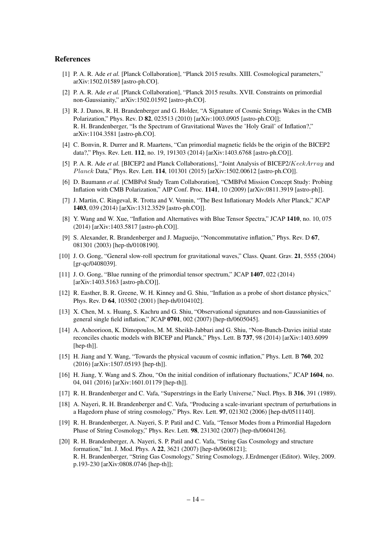#### References

- <span id="page-14-0"></span>[1] P. A. R. Ade *et al.* [Planck Collaboration], "Planck 2015 results. XIII. Cosmological parameters," arXiv:1502.01589 [astro-ph.CO].
- <span id="page-14-1"></span>[2] P. A. R. Ade *et al.* [Planck Collaboration], "Planck 2015 results. XVII. Constraints on primordial non-Gaussianity," arXiv:1502.01592 [astro-ph.CO].
- <span id="page-14-2"></span>[3] R. J. Danos, R. H. Brandenberger and G. Holder, "A Signature of Cosmic Strings Wakes in the CMB Polarization," Phys. Rev. D 82, 023513 (2010) [arXiv:1003.0905 [astro-ph.CO]]; R. H. Brandenberger, "Is the Spectrum of Gravitational Waves the 'Holy Grail' of Inflation?," arXiv:1104.3581 [astro-ph.CO].
- <span id="page-14-3"></span>[4] C. Bonvin, R. Durrer and R. Maartens, "Can primordial magnetic fields be the origin of the BICEP2 data?," Phys. Rev. Lett. 112, no. 19, 191303 (2014) [arXiv:1403.6768 [astro-ph.CO]].
- <span id="page-14-4"></span>[5] P. A. R. Ade *et al.* [BICEP2 and Planck Collaborations], "Joint Analysis of BICEP2/KeckArray and Planck Data," Phys. Rev. Lett. 114, 101301 (2015) [arXiv:1502.00612 [astro-ph.CO]].
- <span id="page-14-5"></span>[6] D. Baumann *et al.* [CMBPol Study Team Collaboration], "CMBPol Mission Concept Study: Probing Inflation with CMB Polarization," AIP Conf. Proc. 1141, 10 (2009) [arXiv:0811.3919 [astro-ph]].
- <span id="page-14-6"></span>[7] J. Martin, C. Ringeval, R. Trotta and V. Vennin, "The Best Inflationary Models After Planck," JCAP 1403, 039 (2014) [arXiv:1312.3529 [astro-ph.CO]].
- <span id="page-14-7"></span>[8] Y. Wang and W. Xue, "Inflation and Alternatives with Blue Tensor Spectra," JCAP 1410, no. 10, 075 (2014) [arXiv:1403.5817 [astro-ph.CO]].
- <span id="page-14-12"></span>[9] S. Alexander, R. Brandenberger and J. Magueijo, "Noncommutative inflation," Phys. Rev. D 67, 081301 (2003) [hep-th/0108190].
- <span id="page-14-8"></span>[10] J. O. Gong, "General slow-roll spectrum for gravitational waves," Class. Quant. Grav. 21, 5555 (2004) [gr-qc/0408039].
- <span id="page-14-9"></span>[11] J. O. Gong, "Blue running of the primordial tensor spectrum," JCAP 1407, 022 (2014) [arXiv:1403.5163 [astro-ph.CO]].
- <span id="page-14-10"></span>[12] R. Easther, B. R. Greene, W. H. Kinney and G. Shiu, "Inflation as a probe of short distance physics," Phys. Rev. D 64, 103502 (2001) [hep-th/0104102].
- [13] X. Chen, M. x. Huang, S. Kachru and G. Shiu, "Observational signatures and non-Gaussianities of general single field inflation," JCAP 0701, 002 (2007) [hep-th/0605045].
- [14] A. Ashoorioon, K. Dimopoulos, M. M. Sheikh-Jabbari and G. Shiu, "Non-Bunch-Davies initial state reconciles chaotic models with BICEP and Planck," Phys. Lett. B 737, 98 (2014) [arXiv:1403.6099 [hep-th]].
- [15] H. Jiang and Y. Wang, "Towards the physical vacuum of cosmic inflation," Phys. Lett. B 760, 202 (2016) [arXiv:1507.05193 [hep-th]].
- <span id="page-14-11"></span>[16] H. Jiang, Y. Wang and S. Zhou, "On the initial condition of inflationary fluctuations," JCAP 1604, no. 04, 041 (2016) [arXiv:1601.01179 [hep-th]].
- <span id="page-14-13"></span>[17] R. H. Brandenberger and C. Vafa, "Superstrings in the Early Universe," Nucl. Phys. B 316, 391 (1989).
- <span id="page-14-14"></span>[18] A. Nayeri, R. H. Brandenberger and C. Vafa, "Producing a scale-invariant spectrum of perturbations in a Hagedorn phase of string cosmology," Phys. Rev. Lett. 97, 021302 (2006) [hep-th/0511140].
- <span id="page-14-16"></span>[19] R. H. Brandenberger, A. Nayeri, S. P. Patil and C. Vafa, "Tensor Modes from a Primordial Hagedorn Phase of String Cosmology," Phys. Rev. Lett. 98, 231302 (2007) [hep-th/0604126].
- <span id="page-14-15"></span>[20] R. H. Brandenberger, A. Nayeri, S. P. Patil and C. Vafa, "String Gas Cosmology and structure formation," Int. J. Mod. Phys. A 22, 3621 (2007) [hep-th/0608121]; R. H. Brandenberger, "String Gas Cosmology," String Cosmology, J.Erdmenger (Editor). Wiley, 2009. p.193-230 [arXiv:0808.0746 [hep-th]];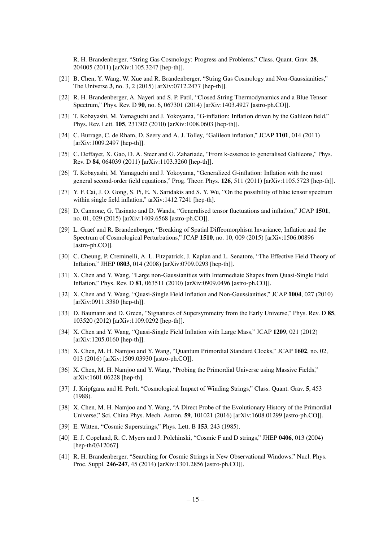R. H. Brandenberger, "String Gas Cosmology: Progress and Problems," Class. Quant. Grav. 28, 204005 (2011) [arXiv:1105.3247 [hep-th]].

- <span id="page-15-0"></span>[21] B. Chen, Y. Wang, W. Xue and R. Brandenberger, "String Gas Cosmology and Non-Gaussianities," The Universe 3, no. 3, 2 (2015) [arXiv:0712.2477 [hep-th]].
- <span id="page-15-13"></span>[22] R. H. Brandenberger, A. Nayeri and S. P. Patil, "Closed String Thermodynamics and a Blue Tensor Spectrum," Phys. Rev. D 90, no. 6, 067301 (2014) [arXiv:1403.4927 [astro-ph.CO]].
- <span id="page-15-1"></span>[23] T. Kobayashi, M. Yamaguchi and J. Yokoyama, "G-inflation: Inflation driven by the Galileon field," Phys. Rev. Lett. 105, 231302 (2010) [arXiv:1008.0603 [hep-th]].
- <span id="page-15-14"></span>[24] C. Burrage, C. de Rham, D. Seery and A. J. Tolley, "Galileon inflation," JCAP 1101, 014 (2011) [arXiv:1009.2497 [hep-th]].
- <span id="page-15-2"></span>[25] C. Deffayet, X. Gao, D. A. Steer and G. Zahariade, "From k-essence to generalised Galileons," Phys. Rev. D 84, 064039 (2011) [arXiv:1103.3260 [hep-th]].
- <span id="page-15-3"></span>[26] T. Kobayashi, M. Yamaguchi and J. Yokoyama, "Generalized G-inflation: Inflation with the most general second-order field equations," Prog. Theor. Phys. 126, 511 (2011) [arXiv:1105.5723 [hep-th]].
- <span id="page-15-4"></span>[27] Y. F. Cai, J. O. Gong, S. Pi, E. N. Saridakis and S. Y. Wu, "On the possibility of blue tensor spectrum within single field inflation," arXiv:1412.7241 [hep-th].
- <span id="page-15-8"></span>[28] D. Cannone, G. Tasinato and D. Wands, "Generalised tensor fluctuations and inflation," JCAP 1501, no. 01, 029 (2015) [arXiv:1409.6568 [astro-ph.CO]].
- <span id="page-15-9"></span>[29] L. Graef and R. Brandenberger, "Breaking of Spatial Diffeomorphism Invariance, Inflation and the Spectrum of Cosmological Perturbations," JCAP 1510, no. 10, 009 (2015) [arXiv:1506.00896 [astro-ph.CO]].
- <span id="page-15-5"></span>[30] C. Cheung, P. Creminelli, A. L. Fitzpatrick, J. Kaplan and L. Senatore, "The Effective Field Theory of Inflation," JHEP 0803, 014 (2008) [arXiv:0709.0293 [hep-th]].
- <span id="page-15-6"></span>[31] X. Chen and Y. Wang, "Large non-Gaussianities with Intermediate Shapes from Quasi-Single Field Inflation," Phys. Rev. D 81, 063511 (2010) [arXiv:0909.0496 [astro-ph.CO]].
- [32] X. Chen and Y. Wang, "Quasi-Single Field Inflation and Non-Gaussianities," JCAP 1004, 027 (2010) [arXiv:0911.3380 [hep-th]].
- [33] D. Baumann and D. Green, "Signatures of Supersymmetry from the Early Universe," Phys. Rev. D 85, 103520 (2012) [arXiv:1109.0292 [hep-th]].
- <span id="page-15-7"></span>[34] X. Chen and Y. Wang, "Quasi-Single Field Inflation with Large Mass," JCAP 1209, 021 (2012) [arXiv:1205.0160 [hep-th]].
- <span id="page-15-10"></span>[35] X. Chen, M. H. Namjoo and Y. Wang, "Quantum Primordial Standard Clocks," JCAP 1602, no. 02, 013 (2016) [arXiv:1509.03930 [astro-ph.CO]].
- <span id="page-15-11"></span>[36] X. Chen, M. H. Namjoo and Y. Wang, "Probing the Primordial Universe using Massive Fields," arXiv:1601.06228 [hep-th].
- <span id="page-15-12"></span>[37] J. Kripfganz and H. Perlt, "Cosmological Impact of Winding Strings," Class. Quant. Grav. 5, 453 (1988).
- [38] X. Chen, M. H. Namjoo and Y. Wang, "A Direct Probe of the Evolutionary History of the Primordial Universe," Sci. China Phys. Mech. Astron. 59, 101021 (2016) [arXiv:1608.01299 [astro-ph.CO]].
- <span id="page-15-15"></span>[39] E. Witten, "Cosmic Superstrings," Phys. Lett. B 153, 243 (1985).
- <span id="page-15-16"></span>[40] E. J. Copeland, R. C. Myers and J. Polchinski, "Cosmic F and D strings," JHEP 0406, 013 (2004) [hep-th/0312067].
- <span id="page-15-17"></span>[41] R. H. Brandenberger, "Searching for Cosmic Strings in New Observational Windows," Nucl. Phys. Proc. Suppl. 246-247, 45 (2014) [arXiv:1301.2856 [astro-ph.CO]].